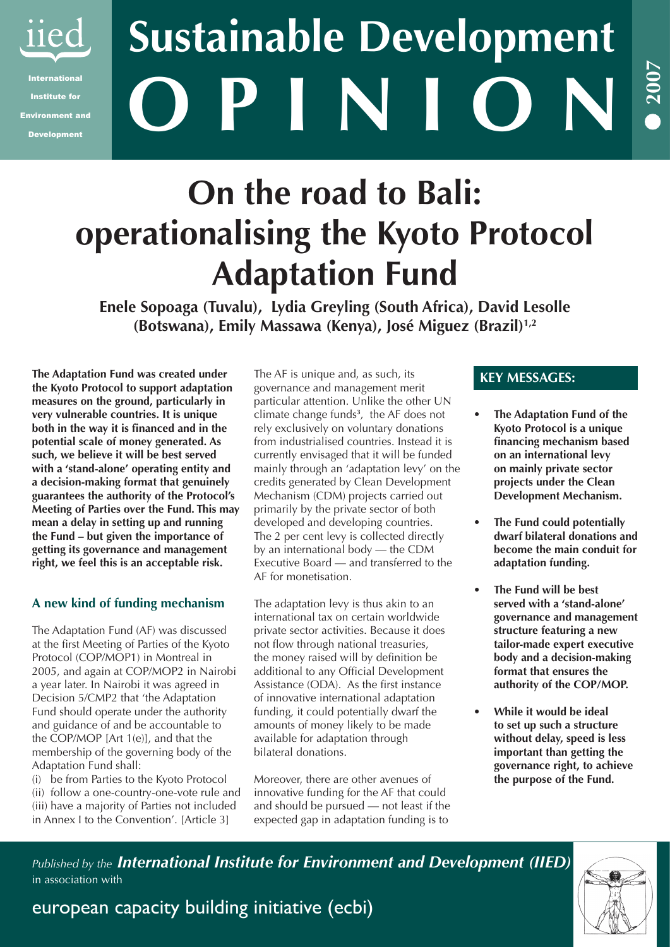

Institute for Environment and Development

# **O P I N I O N Sustainable Development**

## **On the road to Bali: operationalising the Kyoto Protocol Adaptation Fund**

**Enele Sopoaga (Tuvalu), Lydia Greyling (South Africa), David Lesolle (Botswana), Emily Massawa (Kenya), José Miguez (Brazil)1,2**

**The Adaptation Fund was created under the Kyoto Protocol to support adaptation measures on the ground, particularly in very vulnerable countries. It is unique both in the way it is financed and in the potential scale of money generated. As such, we believe it will be best served with a 'stand-alone' operating entity and a decision-making format that genuinely guarantees the authority of the Protocol's Meeting of Parties over the Fund. This may mean a delay in setting up and running the Fund – but given the importance of getting its governance and management right, we feel this is an acceptable risk.**

## **A new kind of funding mechanism**

The Adaptation Fund (AF) was discussed at the first Meeting of Parties of the Kyoto Protocol (COP/MOP1) in Montreal in 2005, and again at COP/MOP2 in Nairobi a year later. In Nairobi it was agreed in Decision 5/CMP2 that 'the Adaptation Fund should operate under the authority and guidance of and be accountable to the COP/MOP [Art 1(e)], and that the membership of the governing body of the Adaptation Fund shall:

(i) be from Parties to the Kyoto Protocol (ii) follow a one-country-one-vote rule and (iii) have a majority of Parties not included in Annex I to the Convention'. [Article 3]

The AF is unique and, as such, its governance and management merit particular attention. Unlike the other UN climate change funds**<sup>3</sup>** , the AF does not rely exclusively on voluntary donations from industrialised countries. Instead it is currently envisaged that it will be funded mainly through an 'adaptation levy' on the credits generated by Clean Development Mechanism (CDM) projects carried out primarily by the private sector of both developed and developing countries. The 2 per cent levy is collected directly by an international body — the CDM Executive Board — and transferred to the AF for monetisation.

The adaptation levy is thus akin to an international tax on certain worldwide private sector activities. Because it does not flow through national treasuries, the money raised will by definition be additional to any Official Development Assistance (ODA). As the first instance of innovative international adaptation funding, it could potentially dwarf the amounts of money likely to be made available for adaptation through bilateral donations.

Moreover, there are other avenues of innovative funding for the AF that could and should be pursued — not least if the expected gap in adaptation funding is to

## **KEY MESSAGES:**

**The Adaptation Fund of the Kyoto Protocol is a unique financing mechanism based on an international levy on mainly private sector projects under the Clean Development Mechanism. •**

**2007**

**•**

- **The Fund could potentially dwarf bilateral donations and become the main conduit for adaptation funding. •**
- **The Fund will be best served with a 'stand-alone' governance and management structure featuring a new tailor-made expert executive body and a decision-making format that ensures the authority of the COP/MOP. •**
- **While it would be ideal to set up such a structure without delay, speed is less important than getting the governance right, to achieve the purpose of the Fund. •**

*Published by the International Institute for Environment and Development (IIED)* in association with

## european capacity building initiative (ecbi)